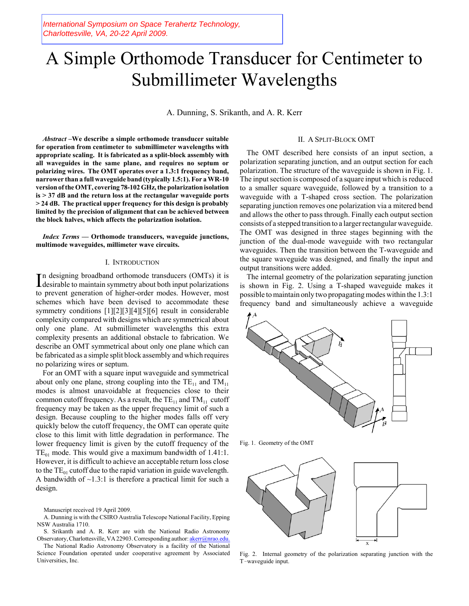International Symposium on Space Terahertz Technology, Charlottesville, VA, 20-22 April 2009.

# A Simple Orthomode Transducer for Centimeter to Submillimeter Wavelengths

A. Dunning, S. Srikanth, and A. R. Kerr

*Abstract –***We describe a simple orthomode transducer suitable for operation from centimeter to submillimeter wavelengths with appropriate scaling. It is fabricated as a split-block assembly with all waveguides in the same plane, and requires no septum or polarizing wires. The OMT operates over a 1.3:1 frequency band, narrower than a full waveguide band (typically 1.5:1). For a WR-10 version of the OMT, covering 78-102 GHz, the polarization isolation is > 37 dB and the return loss at the rectangular waveguide ports > 24 dB. The practical upper frequency for this design is probably limited by the precision of alignment that can be achieved between the block halves, which affects the polarization isolation.** 

*Index Terms* **–– Orthomode transducers, waveguide junctions, multimode waveguides, millimeter wave circuits.**

#### I. INTRODUCTION

In designing broadband orthomode transducers (OMTs) it is desirable to maintain symmetry about both input polarizations n designing broadband orthomode transducers (OMTs) it is to prevent generation of higher-order modes. However, most schemes which have been devised to accommodate these symmetry conditions [1][2][3][4][5][6] result in considerable complexity compared with designs which are symmetrical about only one plane. At submillimeter wavelengths this extra complexity presents an additional obstacle to fabrication. We describe an OMT symmetrical about only one plane which can be fabricated as a simple split block assembly and which requires no polarizing wires or septum.

For an OMT with a square input waveguide and symmetrical about only one plane, strong coupling into the  $TE_{11}$  and  $TM_{11}$ modes is almost unavoidable at frequencies close to their common cutoff frequency. As a result, the  $TE_{11}$  and  $TM_{11}$  cutoff frequency may be taken as the upper frequency limit of such a design. Because coupling to the higher modes falls off very quickly below the cutoff frequency, the OMT can operate quite close to this limit with little degradation in performance. The lower frequency limit is given by the cutoff frequency of the  $TE_{01}$  mode. This would give a maximum bandwidth of 1.41:1. However, it is difficult to achieve an acceptable return loss close to the  $TE_{01}$  cutoff due to the rapid variation in guide wavelength. A bandwidth of  $\sim$ 1.3:1 is therefore a practical limit for such a design.

Manuscript received 19 April 2009.

A. Dunning is with the CSIRO Australia Telescope National Facility, Epping NSW Australia 1710.

S. Srikanth and A. R. Kerr are with the National Radio Astronomy Observatory, Charlottesville, VA 22903. Corresponding author: akerr@nrao.edu.

The National Radio Astronomy Observatory is a facility of the National Science Foundation operated under cooperative agreement by Associated Universities, Inc.

### II. A SPLIT-BLOCK OMT

The OMT described here consists of an input section, a polarization separating junction, and an output section for each polarization. The structure of the waveguide is shown in Fig. 1. The input section is composed of a square input which is reduced to a smaller square waveguide, followed by a transition to a waveguide with a T-shaped cross section. The polarization separating junction removes one polarization via a mitered bend and allows the other to pass through. Finally each output section consists of a stepped transition to a larger rectangular waveguide. The OMT was designed in three stages beginning with the junction of the dual-mode waveguide with two rectangular waveguides. Then the transition between the T-waveguide and the square waveguide was designed, and finally the input and output transitions were added.

The internal geometry of the polarization separating junction is shown in Fig. 2. Using a T-shaped waveguide makes it possible to maintain only two propagating modes within the 1.3:1 frequency band and simultaneously achieve a waveguide



Fig. 1. Geometry of the OMT



Fig. 2. Internal geometry of the polarization separating junction with the T-waveguide input.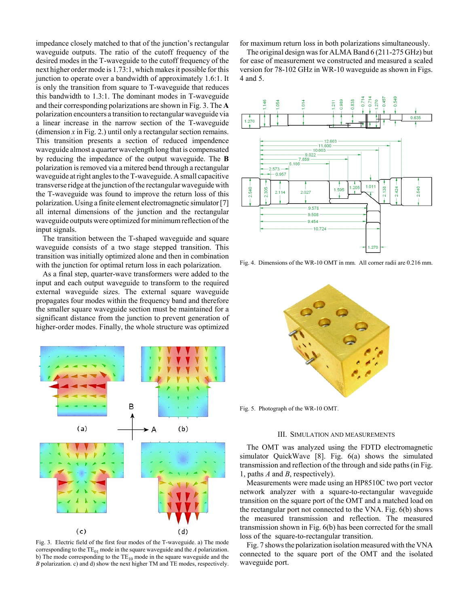impedance closely matched to that of the junction's rectangular waveguide outputs. The ratio of the cutoff frequency of the desired modes in the T-waveguide to the cutoff frequency of the next higher order mode is 1.73:1, which makes it possible for this junction to operate over a bandwidth of approximately 1.6:1. It is only the transition from square to T-waveguide that reduces this bandwidth to 1.3:1. The dominant modes in T-waveguide and their corresponding polarizations are shown in Fig. 3. The **A** polarization encounters a transition to rectangular waveguide via a linear increase in the narrow section of the T-waveguide (dimension  $x$  in Fig. 2.) until only a rectangular section remains. This transition presents a section of reduced impendence waveguide almost a quarter wavelength long that is compensated by reducing the impedance of the output waveguide. The **B** polarization is removed via a mitered bend through a rectangular waveguide at right angles to the T-waveguide. A small capacitive transverse ridge at the junction of the rectangular waveguide with the T-waveguide was found to improve the return loss of this polarization. Using a finite element electromagnetic simulator [7] all internal dimensions of the junction and the rectangular waveguide outputs were optimized for minimum reflection of the input signals.

The transition between the T-shaped waveguide and square waveguide consists of a two stage stepped transition. This transition was initially optimized alone and then in combination with the junction for optimal return loss in each polarization.

As a final step, quarter-wave transformers were added to the input and each output waveguide to transform to the required external waveguide sizes. The external square waveguide propagates four modes within the frequency band and therefore the smaller square waveguide section must be maintained for a significant distance from the junction to prevent generation of higher-order modes. Finally, the whole structure was optimized



Fig. 3. Electric field of the first four modes of the T-waveguide. a) The mode corresponding to the  $TE_{01}$  mode in the square waveguide and the *A* polarization. b) The mode corresponding to the  $TE_{10}$  mode in the square waveguide and the *B* polarization. c) and d) show the next higher TM and TE modes, respectively.

for maximum return loss in both polarizations simultaneously.

The original design was for ALMA Band 6 (211-275 GHz) but for ease of measurement we constructed and measured a scaled version for 78-102 GHz in WR-10 waveguide as shown in Figs. 4 and 5.



Fig. 4. Dimensions of the WR-10 OMT in mm. All corner radii are 0.216 mm.



Fig. 5. Photograph of the WR-10 OMT.

#### III. SIMULATION AND MEASUREMENTS

The OMT was analyzed using the FDTD electromagnetic simulator QuickWave [8]. Fig. 6(a) shows the simulated transmission and reflection of the through and side paths (in Fig. 1, paths *A* and *B*, respectively).

Measurements were made using an HP8510C two port vector network analyzer with a square-to-rectangular waveguide transition on the square port of the OMT and a matched load on the rectangular port not connected to the VNA. Fig. 6(b) shows the measured transmission and reflection. The measured transmission shown in Fig. 6(b) has been corrected for the small loss of the square-to-rectangular transition.

Fig. 7 shows the polarization isolation measured with the VNA connected to the square port of the OMT and the isolated waveguide port.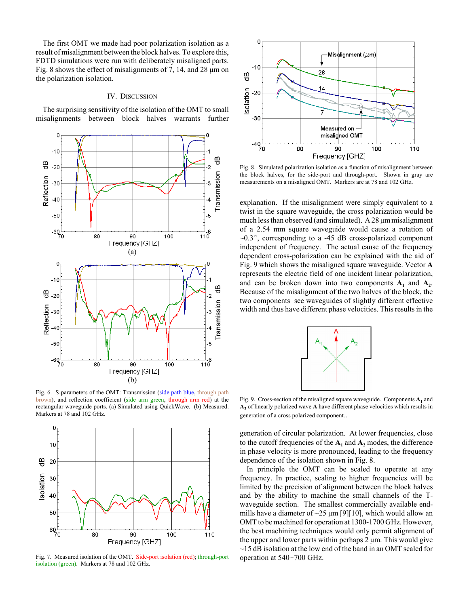The first OMT we made had poor polarization isolation as a result of misalignment between the block halves. To explore this, FDTD simulations were run with deliberately misaligned parts. Fig. 8 shows the effect of misalignments of 7, 14, and 28 μm on the polarization isolation.

## IV. DISCUSSION

The surprising sensitivity of the isolation of the OMT to small misalignments between block halves warrants further



Fig. 6. S-parameters of the OMT: Transmission (side path blue, through path brown), and reflection coefficient (side arm green, through arm red) at the rectangular waveguide ports. (a) Simulated using QuickWave. (b) Measured. Markers at 78 and 102 GHz.



Fig. 7. Measured isolation of the OMT. Side-port isolation (red); through-port isolation (green). Markers at 78 and 102 GHz.



Fig. 8. Simulated polarization isolation as a function of misalignment between the block halves, for the side-port and through-port. Shown in gray are measurements on a misaligned OMT. Markers are at 78 and 102 GHz.

explanation. If the misalignment were simply equivalent to a twist in the square waveguide, the cross polarization would be much less than observed (and simulated). A 28 μm misalignment of a 2.54 mm square waveguide would cause a rotation of  $\sim 0.3^{\circ}$ , corresponding to a -45 dB cross-polarized component independent of frequency. The actual cause of the frequency dependent cross-polarization can be explained with the aid of Fig. 9 which shows the misaligned square waveguide. Vector **A** represents the electric field of one incident linear polarization, and can be broken down into two components  $A_1$  and  $A_2$ . Because of the misalignment of the two halves of the block, the two components see waveguides of slightly different effective width and thus have different phase velocities. This results in the



Fig. 9. Cross-section of the misaligned square waveguide. Components  $A_1$  and **A2** of linearly polarized wave **A** have different phase velocities which results in generation of a cross polarized component..

generation of circular polarization. At lower frequencies, close to the cutoff frequencies of the  $A_1$  and  $A_2$  modes, the difference in phase velocity is more pronounced, leading to the frequency dependence of the isolation shown in Fig. 8.

In principle the OMT can be scaled to operate at any frequency. In practice, scaling to higher frequencies will be limited by the precision of alignment between the block halves and by the ability to machine the small channels of the Twaveguide section. The smallest commercially available endmills have a diameter of  $\sim$ 25  $\mu$ m [9][10], which would allow an OMT to be machined for operation at 1300-1700 GHz. However, the best machining techniques would only permit alignment of the upper and lower parts within perhaps  $2 \mu m$ . This would give  $\sim$ 15 dB isolation at the low end of the band in an OMT scaled for operation at  $540 - 700$  GHz.